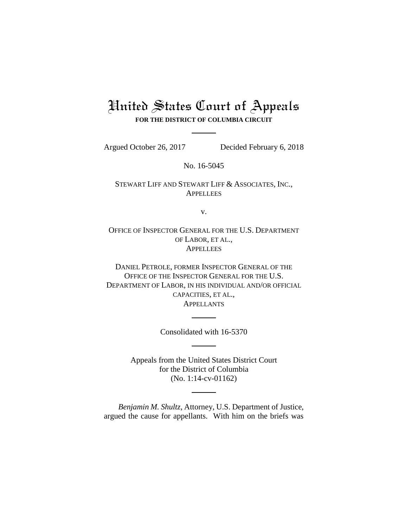# United States Court of Appeals **FOR THE DISTRICT OF COLUMBIA CIRCUIT**

Argued October 26, 2017 Decided February 6, 2018

No. 16-5045

STEWART LIFF AND STEWART LIFF & ASSOCIATES, INC., **APPELLEES** 

v.

OFFICE OF INSPECTOR GENERAL FOR THE U.S. DEPARTMENT OF LABOR, ET AL., **APPELLEES** 

DANIEL PETROLE, FORMER INSPECTOR GENERAL OF THE OFFICE OF THE INSPECTOR GENERAL FOR THE U.S. DEPARTMENT OF LABOR, IN HIS INDIVIDUAL AND/OR OFFICIAL CAPACITIES, ET AL., **APPELLANTS** 

Consolidated with 16-5370

Appeals from the United States District Court for the District of Columbia (No. 1:14-cv-01162)

*Benjamin M. Shultz*, Attorney, U.S. Department of Justice, argued the cause for appellants. With him on the briefs was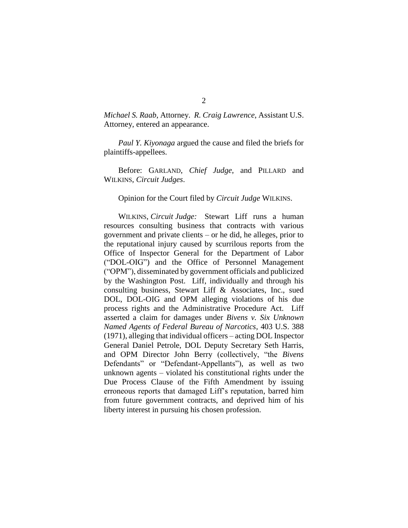*Michael S. Raab*, Attorney. *R. Craig Lawrence*, Assistant U.S. Attorney, entered an appearance.

*Paul Y. Kiyonaga* argued the cause and filed the briefs for plaintiffs-appellees.

Before: GARLAND, *Chief Judge*, and PILLARD and WILKINS, *Circuit Judges*.

#### Opinion for the Court filed by *Circuit Judge* WILKINS.

WILKINS, *Circuit Judge:* Stewart Liff runs a human resources consulting business that contracts with various government and private clients – or he did, he alleges, prior to the reputational injury caused by scurrilous reports from the Office of Inspector General for the Department of Labor ("DOL-OIG") and the Office of Personnel Management ("OPM"), disseminated by government officials and publicized by the Washington Post. Liff, individually and through his consulting business, Stewart Liff & Associates, Inc., sued DOL, DOL-OIG and OPM alleging violations of his due process rights and the Administrative Procedure Act. Liff asserted a claim for damages under *Bivens v. Six Unknown Named Agents of Federal Bureau of Narcotics*, 403 U.S. 388 (1971), alleging that individual officers – acting DOL Inspector General Daniel Petrole, DOL Deputy Secretary Seth Harris, and OPM Director John Berry (collectively, "the *Bivens* Defendants" or "Defendant-Appellants"), as well as two unknown agents – violated his constitutional rights under the Due Process Clause of the Fifth Amendment by issuing erroneous reports that damaged Liff's reputation, barred him from future government contracts, and deprived him of his liberty interest in pursuing his chosen profession.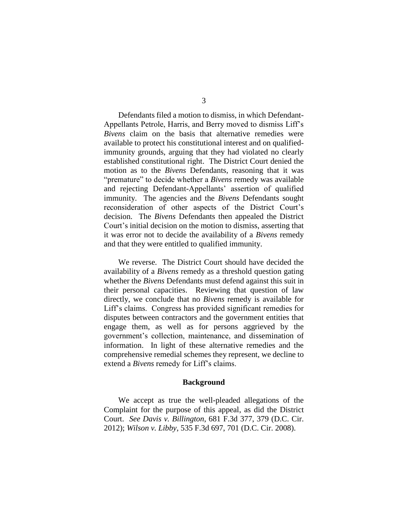Defendants filed a motion to dismiss, in which Defendant-Appellants Petrole, Harris, and Berry moved to dismiss Liff's *Bivens* claim on the basis that alternative remedies were available to protect his constitutional interest and on qualifiedimmunity grounds, arguing that they had violated no clearly established constitutional right. The District Court denied the motion as to the *Bivens* Defendants, reasoning that it was "premature" to decide whether a *Bivens* remedy was available and rejecting Defendant-Appellants' assertion of qualified immunity. The agencies and the *Bivens* Defendants sought reconsideration of other aspects of the District Court's decision. The *Bivens* Defendants then appealed the District Court's initial decision on the motion to dismiss, asserting that it was error not to decide the availability of a *Bivens* remedy and that they were entitled to qualified immunity.

We reverse. The District Court should have decided the availability of a *Bivens* remedy as a threshold question gating whether the *Bivens* Defendants must defend against this suit in their personal capacities. Reviewing that question of law directly, we conclude that no *Bivens* remedy is available for Liff's claims. Congress has provided significant remedies for disputes between contractors and the government entities that engage them, as well as for persons aggrieved by the government's collection, maintenance, and dissemination of information. In light of these alternative remedies and the comprehensive remedial schemes they represent, we decline to extend a *Bivens* remedy for Liff's claims.

#### **Background**

We accept as true the well-pleaded allegations of the Complaint for the purpose of this appeal, as did the District Court. *See Davis v. Billington*, 681 F.3d 377, 379 (D.C. Cir. 2012); *Wilson v. Libby*, 535 F.3d 697, 701 (D.C. Cir. 2008).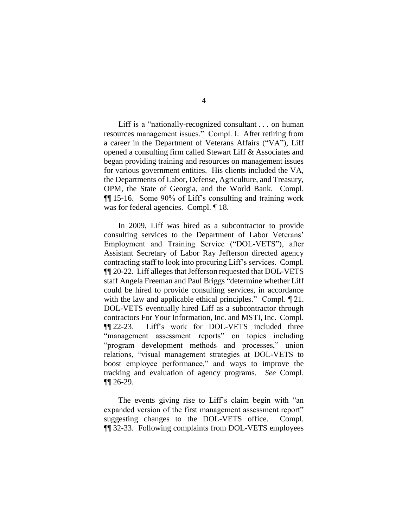Liff is a "nationally-recognized consultant . . . on human resources management issues." Compl. I. After retiring from a career in the Department of Veterans Affairs ("VA"), Liff opened a consulting firm called Stewart Liff & Associates and began providing training and resources on management issues for various government entities. His clients included the VA, the Departments of Labor, Defense, Agriculture, and Treasury, OPM, the State of Georgia, and the World Bank. Compl. ¶¶ 15-16. Some 90% of Liff's consulting and training work was for federal agencies. Compl.  $\P$  18.

In 2009, Liff was hired as a subcontractor to provide consulting services to the Department of Labor Veterans' Employment and Training Service ("DOL-VETS"), after Assistant Secretary of Labor Ray Jefferson directed agency contracting staff to look into procuring Liff's services. Compl. ¶¶ 20-22. Liff alleges that Jefferson requested that DOL-VETS staff Angela Freeman and Paul Briggs "determine whether Liff could be hired to provide consulting services, in accordance with the law and applicable ethical principles." Compl.  $\P$  21. DOL-VETS eventually hired Liff as a subcontractor through contractors For Your Information, Inc. and MSTI, Inc. Compl. ¶¶ 22-23. Liff's work for DOL-VETS included three "management assessment reports" on topics including "program development methods and processes," union relations, "visual management strategies at DOL-VETS to boost employee performance," and ways to improve the tracking and evaluation of agency programs. *See* Compl. ¶¶ 26-29.

The events giving rise to Liff's claim begin with "an expanded version of the first management assessment report" suggesting changes to the DOL-VETS office. Compl. ¶¶ 32-33. Following complaints from DOL-VETS employees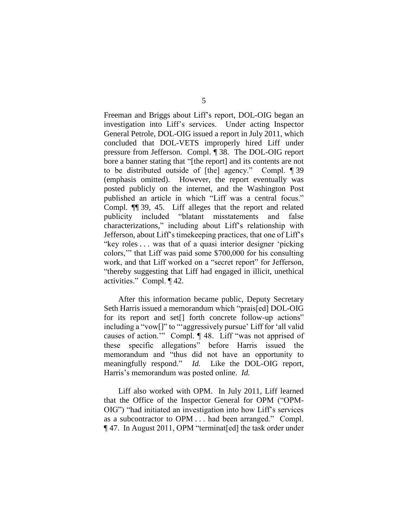Freeman and Briggs about Liff's report, DOL-OIG began an investigation into Liff's services. Under acting Inspector General Petrole, DOL-OIG issued a report in July 2011, which concluded that DOL-VETS improperly hired Liff under pressure from Jefferson. Compl. ¶ 38. The DOL-OIG report bore a banner stating that "[the report] and its contents are not to be distributed outside of [the] agency." Compl. ¶ 39 (emphasis omitted). However, the report eventually was posted publicly on the internet, and the Washington Post published an article in which "Liff was a central focus." Compl. ¶¶ 39, 45. Liff alleges that the report and related publicity included "blatant misstatements and false characterizations," including about Liff's relationship with Jefferson, about Liff's timekeeping practices, that one of Liff's "key roles . . . was that of a quasi interior designer 'picking colors,'" that Liff was paid some \$700,000 for his consulting work, and that Liff worked on a "secret report" for Jefferson, "thereby suggesting that Liff had engaged in illicit, unethical activities." Compl. ¶ 42.

After this information became public, Deputy Secretary Seth Harris issued a memorandum which "prais[ed] DOL-OIG for its report and set<sup>[]</sup> forth concrete follow-up actions" including a "vow[]" to "'aggressively pursue' Liff for 'all valid causes of action.'" Compl. ¶ 48. Liff "was not apprised of these specific allegations" before Harris issued the memorandum and "thus did not have an opportunity to meaningfully respond." *Id.* Like the DOL-OIG report, Harris's memorandum was posted online. *Id.*

Liff also worked with OPM. In July 2011, Liff learned that the Office of the Inspector General for OPM ("OPM-OIG") "had initiated an investigation into how Liff's services as a subcontractor to OPM . . . had been arranged." Compl. ¶ 47. In August 2011, OPM "terminat[ed] the task order under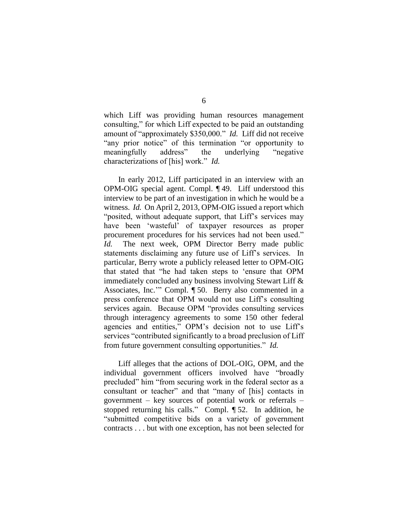which Liff was providing human resources management consulting," for which Liff expected to be paid an outstanding amount of "approximately \$350,000." *Id.* Liff did not receive "any prior notice" of this termination "or opportunity to meaningfully address" the underlying "negative characterizations of [his] work." *Id.*

In early 2012, Liff participated in an interview with an OPM-OIG special agent. Compl. ¶ 49. Liff understood this interview to be part of an investigation in which he would be a witness. *Id.* On April 2, 2013, OPM-OIG issued a report which "posited, without adequate support, that Liff's services may have been 'wasteful' of taxpayer resources as proper procurement procedures for his services had not been used." *Id.* The next week, OPM Director Berry made public statements disclaiming any future use of Liff's services. In particular, Berry wrote a publicly released letter to OPM-OIG that stated that "he had taken steps to 'ensure that OPM immediately concluded any business involving Stewart Liff & Associates, Inc.'" Compl. ¶ 50. Berry also commented in a press conference that OPM would not use Liff's consulting services again. Because OPM "provides consulting services through interagency agreements to some 150 other federal agencies and entities," OPM's decision not to use Liff's services "contributed significantly to a broad preclusion of Liff from future government consulting opportunities." *Id.*

Liff alleges that the actions of DOL-OIG, OPM, and the individual government officers involved have "broadly precluded" him "from securing work in the federal sector as a consultant or teacher" and that "many of [his] contacts in government – key sources of potential work or referrals – stopped returning his calls." Compl. ¶ 52. In addition, he "submitted competitive bids on a variety of government contracts . . . but with one exception, has not been selected for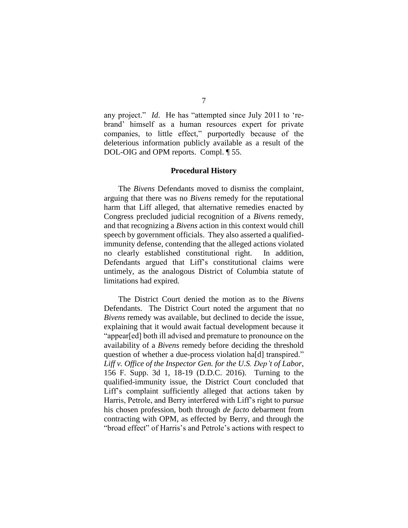any project." *Id*. He has "attempted since July 2011 to 'rebrand' himself as a human resources expert for private companies, to little effect," purportedly because of the deleterious information publicly available as a result of the DOL-OIG and OPM reports. Compl. ¶ 55.

#### **Procedural History**

The *Bivens* Defendants moved to dismiss the complaint, arguing that there was no *Bivens* remedy for the reputational harm that Liff alleged, that alternative remedies enacted by Congress precluded judicial recognition of a *Bivens* remedy, and that recognizing a *Bivens* action in this context would chill speech by government officials. They also asserted a qualifiedimmunity defense, contending that the alleged actions violated no clearly established constitutional right. In addition, Defendants argued that Liff's constitutional claims were untimely, as the analogous District of Columbia statute of limitations had expired.

The District Court denied the motion as to the *Bivens* Defendants. The District Court noted the argument that no *Bivens* remedy was available, but declined to decide the issue, explaining that it would await factual development because it "appear[ed] both ill advised and premature to pronounce on the availability of a *Bivens* remedy before deciding the threshold question of whether a due-process violation ha[d] transpired." *Liff v. Office of the Inspector Gen. for the U.S. Dep't of Labor*, 156 F. Supp. 3d 1, 18-19 (D.D.C. 2016). Turning to the qualified-immunity issue, the District Court concluded that Liff's complaint sufficiently alleged that actions taken by Harris, Petrole, and Berry interfered with Liff's right to pursue his chosen profession, both through *de facto* debarment from contracting with OPM, as effected by Berry, and through the "broad effect" of Harris's and Petrole's actions with respect to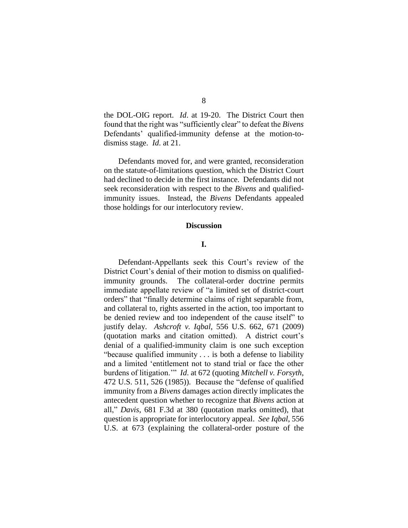the DOL-OIG report. *Id*. at 19-20. The District Court then found that the right was "sufficiently clear" to defeat the *Bivens* Defendants' qualified-immunity defense at the motion-todismiss stage. *Id*. at 21.

Defendants moved for, and were granted, reconsideration on the statute-of-limitations question, which the District Court had declined to decide in the first instance. Defendants did not seek reconsideration with respect to the *Bivens* and qualifiedimmunity issues. Instead, the *Bivens* Defendants appealed those holdings for our interlocutory review.

#### **Discussion**

### **I.**

Defendant-Appellants seek this Court's review of the District Court's denial of their motion to dismiss on qualifiedimmunity grounds. The collateral-order doctrine permits immediate appellate review of "a limited set of district-court orders" that "finally determine claims of right separable from, and collateral to, rights asserted in the action, too important to be denied review and too independent of the cause itself" to justify delay. *Ashcroft v. Iqbal*, 556 U.S. 662, 671 (2009) (quotation marks and citation omitted). A district court's denial of a qualified-immunity claim is one such exception "because qualified immunity . . . is both a defense to liability and a limited 'entitlement not to stand trial or face the other burdens of litigation.'" *Id*. at 672 (quoting *Mitchell v. Forsyth*, 472 U.S. 511, 526 (1985)). Because the "defense of qualified immunity from a *Bivens* damages action directly implicates the antecedent question whether to recognize that *Bivens* action at all," *Davis*, 681 F.3d at 380 (quotation marks omitted), that question is appropriate for interlocutory appeal. *See Iqbal*, 556 U.S. at 673 (explaining the collateral-order posture of the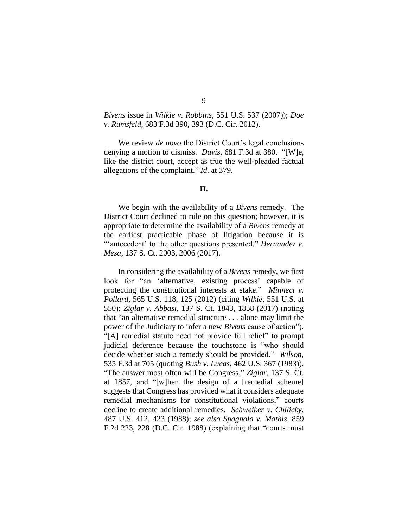## *Bivens* issue in *Wilkie v. Robbins*, 551 U.S. 537 (2007)); *Doe v. Rumsfeld*, 683 F.3d 390, 393 (D.C. Cir. 2012).

We review *de novo* the District Court's legal conclusions denying a motion to dismiss. *Davis*, 681 F.3d at 380. "[W]e, like the district court, accept as true the well-pleaded factual allegations of the complaint." *Id*. at 379.

### **II.**

We begin with the availability of a *Bivens* remedy. The District Court declined to rule on this question; however, it is appropriate to determine the availability of a *Bivens* remedy at the earliest practicable phase of litigation because it is "antecedent' to the other questions presented," *Hernandez v*. *Mesa*, 137 S. Ct. 2003, 2006 (2017).

In considering the availability of a *Bivens* remedy, we first look for "an 'alternative, existing process' capable of protecting the constitutional interests at stake." *Minneci v. Pollard*, 565 U.S. 118, 125 (2012) (citing *Wilkie*, 551 U.S. at 550); *Ziglar v. Abbasi*, 137 S. Ct. 1843, 1858 (2017) (noting that "an alternative remedial structure . . . alone may limit the power of the Judiciary to infer a new *Bivens* cause of action"). "[A] remedial statute need not provide full relief" to prompt judicial deference because the touchstone is "who should decide whether such a remedy should be provided." *Wilson*, 535 F.3d at 705 (quoting *Bush v. Lucas*, 462 U.S. 367 (1983)). "The answer most often will be Congress," *Ziglar*, 137 S. Ct. at 1857, and "[w]hen the design of a [remedial scheme] suggests that Congress has provided what it considers adequate remedial mechanisms for constitutional violations," courts decline to create additional remedies. *Schweiker v. Chilicky*, 487 U.S. 412, 423 (1988); *see also Spagnola v. Mathis*, 859 F.2d 223, 228 (D.C. Cir. 1988) (explaining that "courts must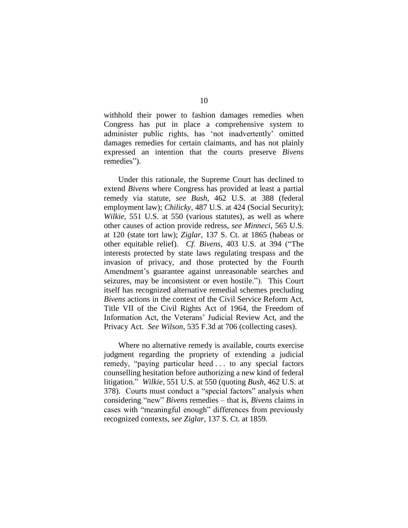withhold their power to fashion damages remedies when Congress has put in place a comprehensive system to administer public rights, has 'not inadvertently' omitted damages remedies for certain claimants, and has not plainly expressed an intention that the courts preserve *Bivens* remedies").

Under this rationale, the Supreme Court has declined to extend *Bivens* where Congress has provided at least a partial remedy via statute, *see Bush*, 462 U.S. at 388 (federal employment law); *Chilicky*, 487 U.S. at 424 (Social Security); *Wilkie*, 551 U.S. at 550 (various statutes), as well as where other causes of action provide redress, *see Minneci*, 565 U.S. at 120 (state tort law); *Ziglar*, 137 S. Ct. at 1865 (habeas or other equitable relief). *Cf. Bivens*, 403 U.S. at 394 ("The interests protected by state laws regulating trespass and the invasion of privacy, and those protected by the Fourth Amendment's guarantee against unreasonable searches and seizures, may be inconsistent or even hostile."). This Court itself has recognized alternative remedial schemes precluding *Bivens* actions in the context of the Civil Service Reform Act, Title VII of the Civil Rights Act of 1964, the Freedom of Information Act, the Veterans' Judicial Review Act, and the Privacy Act. *See Wilson*, 535 F.3d at 706 (collecting cases).

Where no alternative remedy is available, courts exercise judgment regarding the propriety of extending a judicial remedy, "paying particular heed . . . to any special factors counselling hesitation before authorizing a new kind of federal litigation." *Wilkie*, 551 U.S. at 550 (quoting *Bush*, 462 U.S. at 378). Courts must conduct a "special factors" analysis when considering "new" *Bivens* remedies – that is, *Bivens* claims in cases with "meaningful enough" differences from previously recognized contexts, *see Ziglar*, 137 S. Ct. at 1859.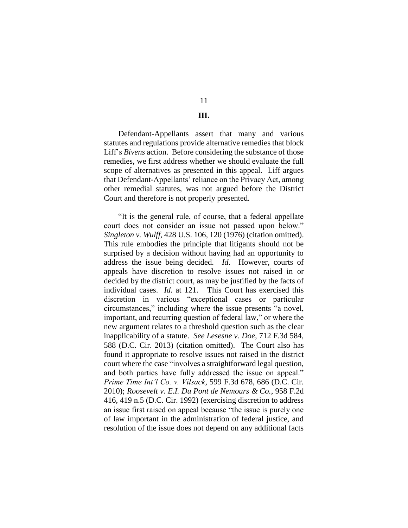# 11

## **III.**

Defendant-Appellants assert that many and various statutes and regulations provide alternative remedies that block Liff's *Bivens* action. Before considering the substance of those remedies, we first address whether we should evaluate the full scope of alternatives as presented in this appeal. Liff argues that Defendant-Appellants' reliance on the Privacy Act, among other remedial statutes, was not argued before the District Court and therefore is not properly presented.

"It is the general rule, of course, that a federal appellate court does not consider an issue not passed upon below." *Singleton v. Wulff*, 428 U.S. 106, 120 (1976) (citation omitted). This rule embodies the principle that litigants should not be surprised by a decision without having had an opportunity to address the issue being decided. *Id*. However, courts of appeals have discretion to resolve issues not raised in or decided by the district court, as may be justified by the facts of individual cases. *Id.* at 121. This Court has exercised this discretion in various "exceptional cases or particular circumstances," including where the issue presents "a novel, important, and recurring question of federal law," or where the new argument relates to a threshold question such as the clear inapplicability of a statute. *See Lesesne v. Doe*, 712 F.3d 584, 588 (D.C. Cir. 2013) (citation omitted). The Court also has found it appropriate to resolve issues not raised in the district court where the case "involves a straightforward legal question, and both parties have fully addressed the issue on appeal." *Prime Time Int'l Co. v. Vilsack*, 599 F.3d 678, 686 (D.C. Cir. 2010); *Roosevelt v. E.I. Du Pont de Nemours & Co.*, 958 F.2d 416, 419 n.5 (D.C. Cir. 1992) (exercising discretion to address an issue first raised on appeal because "the issue is purely one of law important in the administration of federal justice, and resolution of the issue does not depend on any additional facts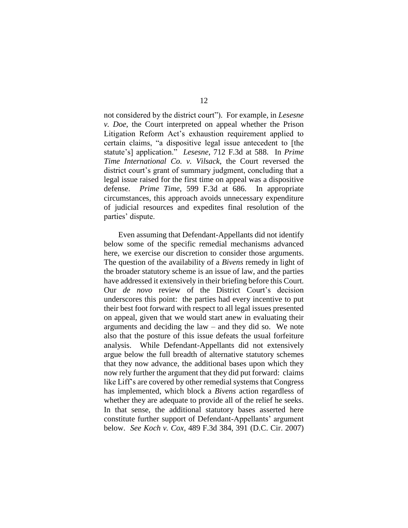not considered by the district court"). For example, in *Lesesne v. Doe*, the Court interpreted on appeal whether the Prison Litigation Reform Act's exhaustion requirement applied to certain claims, "a dispositive legal issue antecedent to [the statute's] application." *Lesesne*, 712 F.3d at 588. In *Prime Time International Co. v. Vilsack*, the Court reversed the district court's grant of summary judgment, concluding that a legal issue raised for the first time on appeal was a dispositive defense. *Prime Time*, 599 F.3d at 686. In appropriate circumstances, this approach avoids unnecessary expenditure of judicial resources and expedites final resolution of the parties' dispute.

Even assuming that Defendant-Appellants did not identify below some of the specific remedial mechanisms advanced here, we exercise our discretion to consider those arguments. The question of the availability of a *Bivens* remedy in light of the broader statutory scheme is an issue of law, and the parties have addressed it extensively in their briefing before this Court. Our *de novo* review of the District Court's decision underscores this point: the parties had every incentive to put their best foot forward with respect to all legal issues presented on appeal, given that we would start anew in evaluating their arguments and deciding the law – and they did so. We note also that the posture of this issue defeats the usual forfeiture analysis. While Defendant-Appellants did not extensively argue below the full breadth of alternative statutory schemes that they now advance, the additional bases upon which they now rely further the argument that they did put forward: claims like Liff's are covered by other remedial systems that Congress has implemented, which block a *Bivens* action regardless of whether they are adequate to provide all of the relief he seeks. In that sense, the additional statutory bases asserted here constitute further support of Defendant-Appellants' argument below. *See Koch v. Cox*, 489 F.3d 384, 391 (D.C. Cir. 2007)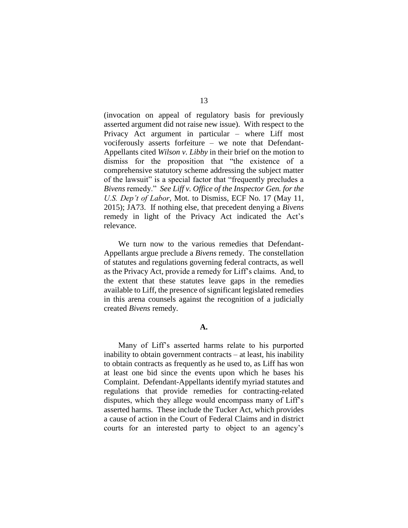(invocation on appeal of regulatory basis for previously asserted argument did not raise new issue). With respect to the Privacy Act argument in particular – where Liff most vociferously asserts forfeiture – we note that Defendant-Appellants cited *Wilson v. Libby* in their brief on the motion to dismiss for the proposition that "the existence of a comprehensive statutory scheme addressing the subject matter of the lawsuit" is a special factor that "frequently precludes a *Bivens* remedy." *See Liff v. Office of the Inspector Gen. for the U.S. Dep't of Labor*, Mot. to Dismiss, ECF No. 17 (May 11, 2015); JA73. If nothing else, that precedent denying a *Bivens* remedy in light of the Privacy Act indicated the Act's relevance.

We turn now to the various remedies that Defendant-Appellants argue preclude a *Bivens* remedy. The constellation of statutes and regulations governing federal contracts, as well as the Privacy Act, provide a remedy for Liff's claims. And, to the extent that these statutes leave gaps in the remedies available to Liff, the presence of significant legislated remedies in this arena counsels against the recognition of a judicially created *Bivens* remedy.

#### **A.**

Many of Liff's asserted harms relate to his purported inability to obtain government contracts – at least, his inability to obtain contracts as frequently as he used to, as Liff has won at least one bid since the events upon which he bases his Complaint. Defendant-Appellants identify myriad statutes and regulations that provide remedies for contracting-related disputes, which they allege would encompass many of Liff's asserted harms. These include the Tucker Act, which provides a cause of action in the Court of Federal Claims and in district courts for an interested party to object to an agency's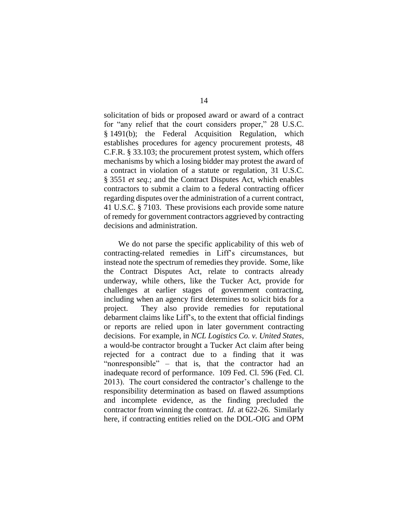solicitation of bids or proposed award or award of a contract for "any relief that the court considers proper," 28 U.S.C. § 1491(b); the Federal Acquisition Regulation, which establishes procedures for agency procurement protests, 48 C.F.R. § 33.103; the procurement protest system, which offers mechanisms by which a losing bidder may protest the award of a contract in violation of a statute or regulation, 31 U.S.C. § 3551 *et seq.*; and the Contract Disputes Act, which enables contractors to submit a claim to a federal contracting officer regarding disputes over the administration of a current contract, 41 U.S.C. § 7103. These provisions each provide some nature of remedy for government contractors aggrieved by contracting decisions and administration.

We do not parse the specific applicability of this web of contracting-related remedies in Liff's circumstances, but instead note the spectrum of remedies they provide. Some, like the Contract Disputes Act, relate to contracts already underway, while others, like the Tucker Act, provide for challenges at earlier stages of government contracting, including when an agency first determines to solicit bids for a project. They also provide remedies for reputational debarment claims like Liff's, to the extent that official findings or reports are relied upon in later government contracting decisions. For example, in *NCL Logistics Co. v. United States*, a would-be contractor brought a Tucker Act claim after being rejected for a contract due to a finding that it was "nonresponsible" – that is, that the contractor had an inadequate record of performance. 109 Fed. Cl. 596 (Fed. Cl. 2013). The court considered the contractor's challenge to the responsibility determination as based on flawed assumptions and incomplete evidence, as the finding precluded the contractor from winning the contract. *Id*. at 622-26. Similarly here, if contracting entities relied on the DOL-OIG and OPM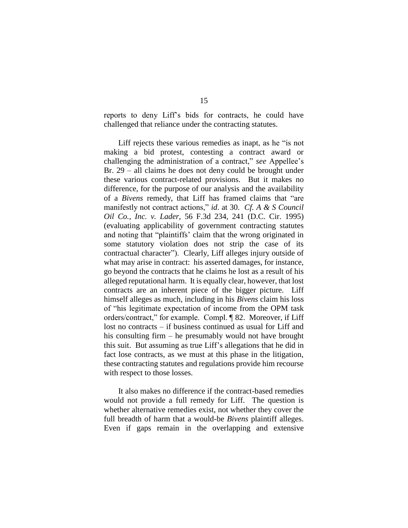reports to deny Liff's bids for contracts, he could have challenged that reliance under the contracting statutes.

Liff rejects these various remedies as inapt, as he "is not making a bid protest, contesting a contract award or challenging the administration of a contract," *see* Appellee's Br. 29 – all claims he does not deny could be brought under these various contract-related provisions. But it makes no difference, for the purpose of our analysis and the availability of a *Bivens* remedy, that Liff has framed claims that "are manifestly not contract actions," *id*. at 30. *Cf. A & S Council Oil Co., Inc. v. Lader*, 56 F.3d 234, 241 (D.C. Cir. 1995) (evaluating applicability of government contracting statutes and noting that "plaintiffs' claim that the wrong originated in some statutory violation does not strip the case of its contractual character"). Clearly, Liff alleges injury outside of what may arise in contract: his asserted damages, for instance, go beyond the contracts that he claims he lost as a result of his alleged reputational harm. It is equally clear, however, that lost contracts are an inherent piece of the bigger picture. Liff himself alleges as much, including in his *Bivens* claim his loss of "his legitimate expectation of income from the OPM task orders/contract," for example. Compl. ¶ 82. Moreover, if Liff lost no contracts – if business continued as usual for Liff and his consulting firm – he presumably would not have brought this suit. But assuming as true Liff's allegations that he did in fact lose contracts, as we must at this phase in the litigation, these contracting statutes and regulations provide him recourse with respect to those losses.

It also makes no difference if the contract-based remedies would not provide a full remedy for Liff. The question is whether alternative remedies exist, not whether they cover the full breadth of harm that a would-be *Bivens* plaintiff alleges. Even if gaps remain in the overlapping and extensive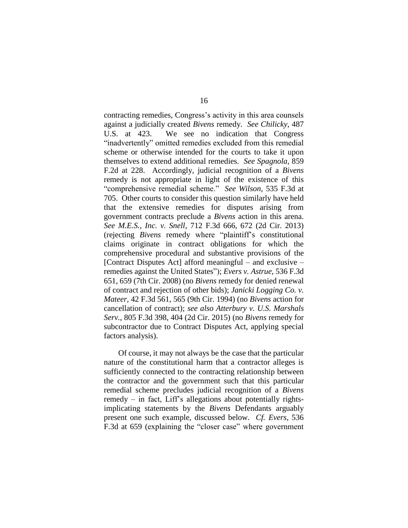contracting remedies, Congress's activity in this area counsels against a judicially created *Bivens* remedy. *See Chilicky*, 487 U.S. at 423. We see no indication that Congress "inadvertently" omitted remedies excluded from this remedial scheme or otherwise intended for the courts to take it upon themselves to extend additional remedies. *See Spagnola*, 859 F.2d at 228. Accordingly, judicial recognition of a *Bivens* remedy is not appropriate in light of the existence of this "comprehensive remedial scheme." *See Wilson*, 535 F.3d at 705. Other courts to consider this question similarly have held that the extensive remedies for disputes arising from government contracts preclude a *Bivens* action in this arena. *See M.E.S., Inc. v. Snell*, 712 F.3d 666, 672 (2d Cir. 2013) (rejecting *Bivens* remedy where "plaintiff's constitutional claims originate in contract obligations for which the comprehensive procedural and substantive provisions of the [Contract Disputes Act] afford meaningful – and exclusive – remedies against the United States"); *Evers v. Astrue*, 536 F.3d 651, 659 (7th Cir. 2008) (no *Bivens* remedy for denied renewal of contract and rejection of other bids); *Janicki Logging Co. v. Mateer*, 42 F.3d 561, 565 (9th Cir. 1994) (no *Bivens* action for cancellation of contract); *see also Atterbury v. U.S. Marshals Serv.*, 805 F.3d 398, 404 (2d Cir. 2015) (no *Bivens* remedy for subcontractor due to Contract Disputes Act, applying special factors analysis).

Of course, it may not always be the case that the particular nature of the constitutional harm that a contractor alleges is sufficiently connected to the contracting relationship between the contractor and the government such that this particular remedial scheme precludes judicial recognition of a *Bivens* remedy – in fact, Liff's allegations about potentially rightsimplicating statements by the *Bivens* Defendants arguably present one such example, discussed below. *Cf. Evers*, 536 F.3d at 659 (explaining the "closer case" where government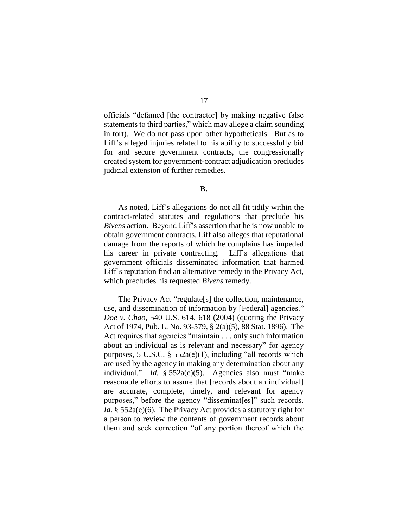officials "defamed [the contractor] by making negative false statements to third parties," which may allege a claim sounding in tort). We do not pass upon other hypotheticals. But as to Liff's alleged injuries related to his ability to successfully bid for and secure government contracts, the congressionally created system for government-contract adjudication precludes judicial extension of further remedies.

### **B.**

As noted, Liff's allegations do not all fit tidily within the contract-related statutes and regulations that preclude his *Bivens* action. Beyond Liff's assertion that he is now unable to obtain government contracts, Liff also alleges that reputational damage from the reports of which he complains has impeded his career in private contracting. Liff's allegations that government officials disseminated information that harmed Liff's reputation find an alternative remedy in the Privacy Act, which precludes his requested *Bivens* remedy.

The Privacy Act "regulate[s] the collection, maintenance, use, and dissemination of information by [Federal] agencies." *Doe v. Chao*, 540 U.S. 614, 618 (2004) (quoting the Privacy Act of 1974, Pub. L. No. 93-579, § 2(a)(5), 88 Stat. 1896). The Act requires that agencies "maintain . . . only such information about an individual as is relevant and necessary" for agency purposes, 5 U.S.C. § 552a(e)(1), including "all records which are used by the agency in making any determination about any individual." *Id.* § 552a(e)(5). Agencies also must "make reasonable efforts to assure that [records about an individual] are accurate, complete, timely, and relevant for agency purposes," before the agency "disseminat[es]" such records. *Id.* § 552a(e)(6). The Privacy Act provides a statutory right for a person to review the contents of government records about them and seek correction "of any portion thereof which the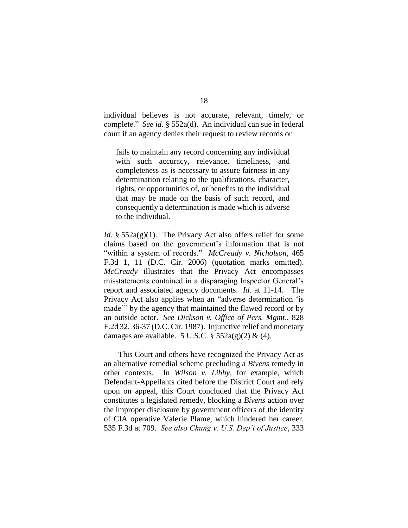individual believes is not accurate, relevant, timely, or complete." *See id.* § 552a(d). An individual can sue in federal court if an agency denies their request to review records or

fails to maintain any record concerning any individual with such accuracy, relevance, timeliness, and completeness as is necessary to assure fairness in any determination relating to the qualifications, character, rights, or opportunities of, or benefits to the individual that may be made on the basis of such record, and consequently a determination is made which is adverse to the individual.

*Id.* § 552a(g)(1). The Privacy Act also offers relief for some claims based on the government's information that is not "within a system of records." *McCready v. Nicholson*, 465 F.3d 1, 11 (D.C. Cir. 2006) (quotation marks omitted). *McCready* illustrates that the Privacy Act encompasses misstatements contained in a disparaging Inspector General's report and associated agency documents. *Id.* at 11-14. The Privacy Act also applies when an "adverse determination 'is made'" by the agency that maintained the flawed record or by an outside actor. *See Dickson v. Office of Pers. Mgmt*., 828 F.2d 32, 36-37 (D.C. Cir. 1987). Injunctive relief and monetary damages are available. 5 U.S.C.  $\S$  552a(g)(2) & (4).

This Court and others have recognized the Privacy Act as an alternative remedial scheme precluding a *Bivens* remedy in other contexts. In *Wilson v. Libby*, for example, which Defendant-Appellants cited before the District Court and rely upon on appeal, this Court concluded that the Privacy Act constitutes a legislated remedy, blocking a *Bivens* action over the improper disclosure by government officers of the identity of CIA operative Valerie Plame, which hindered her career. 535 F.3d at 709. *See also Chung v. U.S. Dep't of Justice*, 333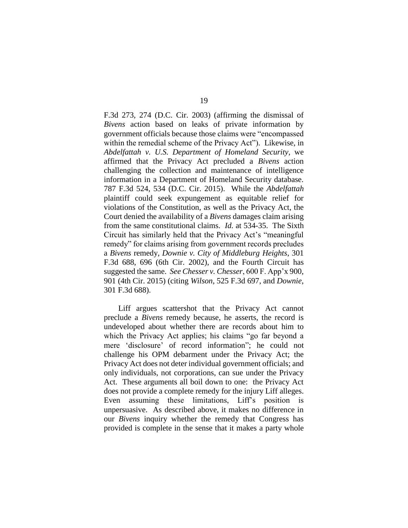F.3d 273, 274 (D.C. Cir. 2003) (affirming the dismissal of *Bivens* action based on leaks of private information by government officials because those claims were "encompassed within the remedial scheme of the Privacy Act"). Likewise, in *Abdelfattah v. U.S. Department of Homeland Security*, we affirmed that the Privacy Act precluded a *Bivens* action challenging the collection and maintenance of intelligence information in a Department of Homeland Security database. 787 F.3d 524, 534 (D.C. Cir. 2015). While the *Abdelfattah* plaintiff could seek expungement as equitable relief for violations of the Constitution, as well as the Privacy Act, the Court denied the availability of a *Bivens* damages claim arising from the same constitutional claims. *Id.* at 534-35. The Sixth Circuit has similarly held that the Privacy Act's "meaningful remedy" for claims arising from government records precludes a *Bivens* remedy, *Downie v. City of Middleburg Heights*, 301 F.3d 688, 696 (6th Cir. 2002), and the Fourth Circuit has suggested the same. *See Chesser v. Chesser*, 600 F. App'x 900, 901 (4th Cir. 2015) (citing *Wilson*, 525 F.3d 697, and *Downie*, 301 F.3d 688).

Liff argues scattershot that the Privacy Act cannot preclude a *Bivens* remedy because, he asserts, the record is undeveloped about whether there are records about him to which the Privacy Act applies; his claims "go far beyond a mere 'disclosure' of record information"; he could not challenge his OPM debarment under the Privacy Act; the Privacy Act does not deter individual government officials; and only individuals, not corporations, can sue under the Privacy Act. These arguments all boil down to one: the Privacy Act does not provide a complete remedy for the injury Liff alleges. Even assuming these limitations, Liff's position is unpersuasive. As described above, it makes no difference in our *Bivens* inquiry whether the remedy that Congress has provided is complete in the sense that it makes a party whole